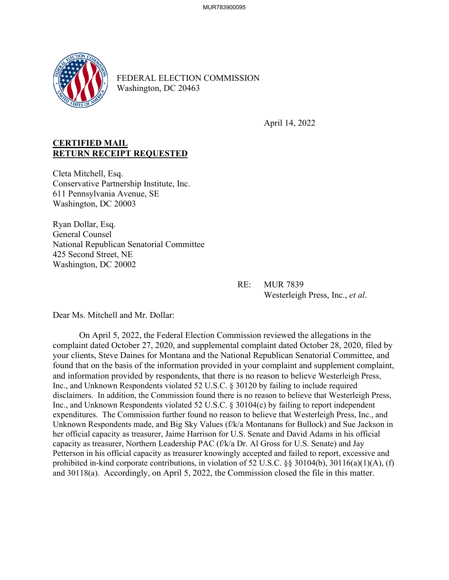

FEDERAL ELECTION COMMISSION Washington, DC 20463

April 14, 2022

## **CERTIFIED MAIL RETURN RECEIPT REQUESTED**

Cleta Mitchell, Esq. Conservative Partnership Institute, Inc. 611 Pennsylvania Avenue, SE Washington, DC 20003

Ryan Dollar, Esq. General Counsel National Republican Senatorial Committee 425 Second Street, NE Washington, DC 20002

> RE: MUR 7839 Westerleigh Press, Inc., *et al*.

Dear Ms. Mitchell and Mr. Dollar:

On April 5, 2022, the Federal Election Commission reviewed the allegations in the complaint dated October 27, 2020, and supplemental complaint dated October 28, 2020, filed by your clients, Steve Daines for Montana and the National Republican Senatorial Committee, and found that on the basis of the information provided in your complaint and supplement complaint, and information provided by respondents, that there is no reason to believe Westerleigh Press, Inc., and Unknown Respondents violated 52 U.S.C. § 30120 by failing to include required disclaimers. In addition, the Commission found there is no reason to believe that Westerleigh Press, Inc., and Unknown Respondents violated 52 U.S.C. § 30104(c) by failing to report independent expenditures. The Commission further found no reason to believe that Westerleigh Press, Inc., and Unknown Respondents made, and Big Sky Values (f/k/a Montanans for Bullock) and Sue Jackson in her official capacity as treasurer, Jaime Harrison for U.S. Senate and David Adams in his official capacity as treasurer, Northern Leadership PAC (f/k/a Dr. Al Gross for U.S. Senate) and Jay Petterson in his official capacity as treasurer knowingly accepted and failed to report, excessive and prohibited in-kind corporate contributions, in violation of 52 U.S.C. §§ 30104(b), 30116(a)(1)(A), (f) and 30118(a). Accordingly, on April 5, 2022, the Commission closed the file in this matter.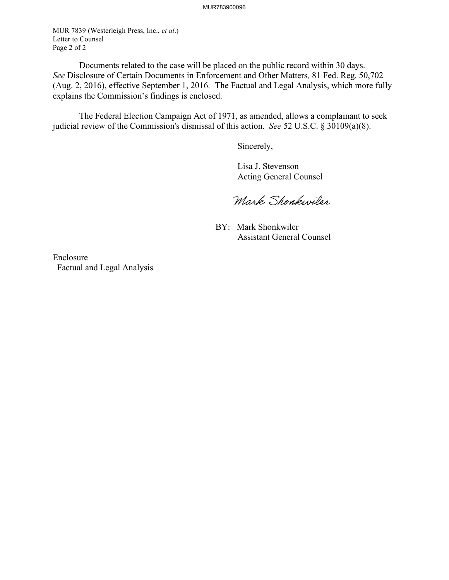MUR 7839 (Westerleigh Press, Inc., *et al*.) Letter to Counsel Page 2 of 2

 Documents related to the case will be placed on the public record within 30 days. *See* Disclosure of Certain Documents in Enforcement and Other Matters*,* 81 Fed. Reg. 50,702 (Aug. 2, 2016), effective September 1, 2016. The Factual and Legal Analysis, which more fully explains the Commission's findings is enclosed.

 The Federal Election Campaign Act of 1971, as amended, allows a complainant to seek judicial review of the Commission's dismissal of this action. *See* 52 U.S.C. § 30109(a)(8).

Sincerely,

 Lisa J. Stevenson Acting General Counsel

Mark Shonkwiler

 BY: Mark Shonkwiler Assistant General Counsel

Enclosure Factual and Legal Analysis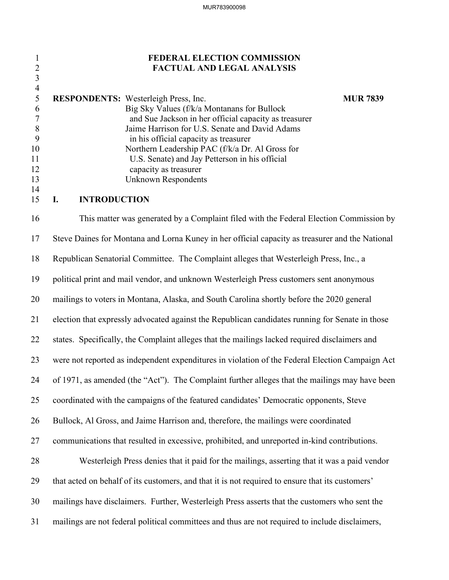## 1 **FEDERAL ELECTION COMMISSION** 2 **FACTUAL AND LEGAL ANALYSIS**

|     | <b>RESPONDENTS:</b> Westerleigh Press, Inc.           | <b>MUR 7839</b> |
|-----|-------------------------------------------------------|-----------------|
| 6   | Big Sky Values (f/k/a Montanans for Bullock           |                 |
|     | and Sue Jackson in her official capacity as treasurer |                 |
| - 8 | Jaime Harrison for U.S. Senate and David Adams        |                 |
|     | in his official capacity as treasurer                 |                 |
| 10  | Northern Leadership PAC (f/k/a Dr. Al Gross for       |                 |
| 11  | U.S. Senate) and Jay Petterson in his official        |                 |
| 12  | capacity as treasurer                                 |                 |
| 13  | Unknown Respondents                                   |                 |
| 14  |                                                       |                 |

### 15 **I. INTRODUCTION**

3 4

16 This matter was generated by a Complaint filed with the Federal Election Commission by 17 Steve Daines for Montana and Lorna Kuney in her official capacity as treasurer and the National 18 Republican Senatorial Committee. The Complaint alleges that Westerleigh Press, Inc., a 19 political print and mail vendor, and unknown Westerleigh Press customers sent anonymous 20 mailings to voters in Montana, Alaska, and South Carolina shortly before the 2020 general 21 election that expressly advocated against the Republican candidates running for Senate in those 22 states. Specifically, the Complaint alleges that the mailings lacked required disclaimers and 23 were not reported as independent expenditures in violation of the Federal Election Campaign Act 24 of 1971, as amended (the "Act"). The Complaint further alleges that the mailings may have been 25 coordinated with the campaigns of the featured candidates' Democratic opponents, Steve 26 Bullock, Al Gross, and Jaime Harrison and, therefore, the mailings were coordinated 27 communications that resulted in excessive, prohibited, and unreported in-kind contributions. 28 Westerleigh Press denies that it paid for the mailings, asserting that it was a paid vendor 29 that acted on behalf of its customers, and that it is not required to ensure that its customers' 30 mailings have disclaimers. Further, Westerleigh Press asserts that the customers who sent the 31 mailings are not federal political committees and thus are not required to include disclaimers,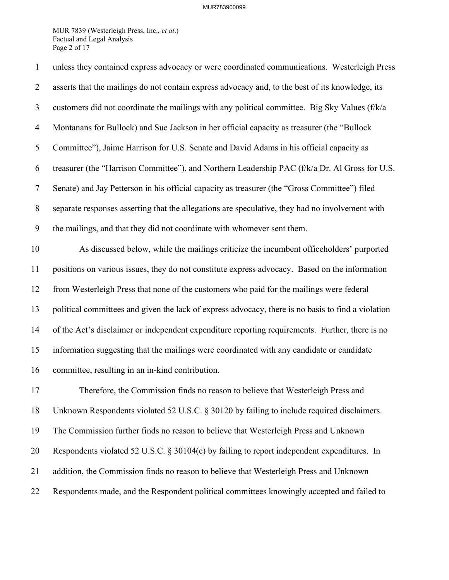### MUR783900099

MUR 7839 (Westerleigh Press, Inc., *et al*.) Factual and Legal Analysis Page 2 of 17

| $\mathbf{1}$   | unless they contained express advocacy or were coordinated communications. Westerleigh Press       |
|----------------|----------------------------------------------------------------------------------------------------|
| $\overline{2}$ | asserts that the mailings do not contain express advocacy and, to the best of its knowledge, its   |
| 3              | customers did not coordinate the mailings with any political committee. Big Sky Values (f/k/a      |
| $\overline{4}$ | Montanans for Bullock) and Sue Jackson in her official capacity as treasurer (the "Bullock         |
| 5              | Committee"), Jaime Harrison for U.S. Senate and David Adams in his official capacity as            |
| 6              | treasurer (the "Harrison Committee"), and Northern Leadership PAC (f/k/a Dr. Al Gross for U.S.     |
| $\tau$         | Senate) and Jay Petterson in his official capacity as treasurer (the "Gross Committee") filed      |
| $8\,$          | separate responses asserting that the allegations are speculative, they had no involvement with    |
| 9              | the mailings, and that they did not coordinate with whomever sent them.                            |
| 10             | As discussed below, while the mailings criticize the incumbent officeholders' purported            |
| 11             | positions on various issues, they do not constitute express advocacy. Based on the information     |
| 12             | from Westerleigh Press that none of the customers who paid for the mailings were federal           |
| 13             | political committees and given the lack of express advocacy, there is no basis to find a violation |
| 14             | of the Act's disclaimer or independent expenditure reporting requirements. Further, there is no    |
| 15             | information suggesting that the mailings were coordinated with any candidate or candidate          |
| 16             | committee, resulting in an in-kind contribution.                                                   |
| 17             | Therefore, the Commission finds no reason to believe that Westerleigh Press and                    |
| 18             | Unknown Respondents violated 52 U.S.C. § 30120 by failing to include required disclaimers.         |
| 19             | The Commission further finds no reason to believe that Westerleigh Press and Unknown               |
| 20             | Respondents violated 52 U.S.C. § 30104(c) by failing to report independent expenditures. In        |
| 21             | addition, the Commission finds no reason to believe that Westerleigh Press and Unknown             |
| 22             | Respondents made, and the Respondent political committees knowingly accepted and failed to         |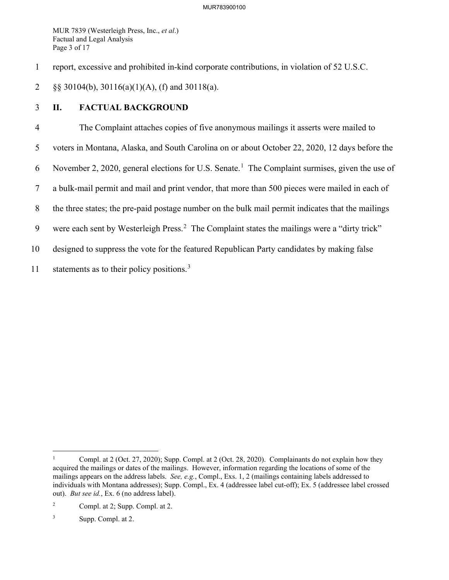MUR 7839 (Westerleigh Press, Inc., *et al*.) Factual and Legal Analysis Page 3 of 17

1 report, excessive and prohibited in-kind corporate contributions, in violation of 52 U.S.C.

2 §§ 30104(b), 30116(a)(1)(A), (f) and 30118(a).

# 3 **II. FACTUAL BACKGROUND**

4 The Complaint attaches copies of five anonymous mailings it asserts were mailed to 5 voters in Montana, Alaska, and South Carolina on or about October 22, 2020, 12 days before the 6 November 2, 2020, general elections for U.S. Senate.<sup>[1](#page-4-0)</sup> The Complaint surmises, given the use of 7 a bulk-mail permit and mail and print vendor, that more than 500 pieces were mailed in each of 8 the three states; the pre-paid postage number on the bulk mail permit indicates that the mailings 9 were each sent by Westerleigh Press.<sup>[2](#page-4-1)</sup> The Complaint states the mailings were a "dirty trick" 10 designed to suppress the vote for the featured Republican Party candidates by making false 11 statements as to their policy positions.<sup>[3](#page-4-2)</sup>

<span id="page-4-0"></span><sup>1</sup> Compl. at 2 (Oct. 27, 2020); Supp. Compl. at 2 (Oct. 28, 2020). Complainants do not explain how they acquired the mailings or dates of the mailings. However, information regarding the locations of some of the mailings appears on the address labels. *See, e.g.*, Compl., Exs. 1, 2 (mailings containing labels addressed to individuals with Montana addresses); Supp. Compl., Ex. 4 (addressee label cut-off); Ex. 5 (addressee label crossed out). *But see id.*, Ex. 6 (no address label).

<span id="page-4-1"></span><sup>2</sup> Compl. at 2; Supp. Compl. at 2.

<span id="page-4-2"></span><sup>3</sup> Supp. Compl. at 2.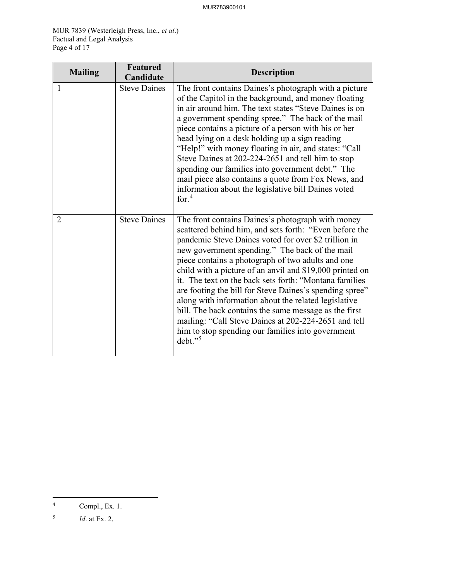MUR 7839 (Westerleigh Press, Inc., *et al*.) Factual and Legal Analysis Page 4 of 17

| <b>Mailing</b> | <b>Featured</b><br>Candidate | <b>Description</b>                                                                                                                                                                                                                                                                                                                                                                                                                                                                                                                                                                                                                                                                                      |
|----------------|------------------------------|---------------------------------------------------------------------------------------------------------------------------------------------------------------------------------------------------------------------------------------------------------------------------------------------------------------------------------------------------------------------------------------------------------------------------------------------------------------------------------------------------------------------------------------------------------------------------------------------------------------------------------------------------------------------------------------------------------|
| 1              | <b>Steve Daines</b>          | The front contains Daines's photograph with a picture<br>of the Capitol in the background, and money floating<br>in air around him. The text states "Steve Daines is on<br>a government spending spree." The back of the mail<br>piece contains a picture of a person with his or her<br>head lying on a desk holding up a sign reading<br>"Help!" with money floating in air, and states: "Call<br>Steve Daines at 202-224-2651 and tell him to stop<br>spending our families into government debt." The<br>mail piece also contains a quote from Fox News, and<br>information about the legislative bill Daines voted<br>for. $4$                                                                     |
| 2              | <b>Steve Daines</b>          | The front contains Daines's photograph with money<br>scattered behind him, and sets forth: "Even before the<br>pandemic Steve Daines voted for over \$2 trillion in<br>new government spending." The back of the mail<br>piece contains a photograph of two adults and one<br>child with a picture of an anvil and \$19,000 printed on<br>it. The text on the back sets forth: "Montana families"<br>are footing the bill for Steve Daines's spending spree"<br>along with information about the related legislative<br>bill. The back contains the same message as the first<br>mailing: "Call Steve Daines at 202-224-2651 and tell<br>him to stop spending our families into government<br>$debt.$ " |

<span id="page-5-0"></span><sup>4</sup> Compl., Ex. 1.

<span id="page-5-1"></span><sup>5</sup> *Id*. at Ex. 2.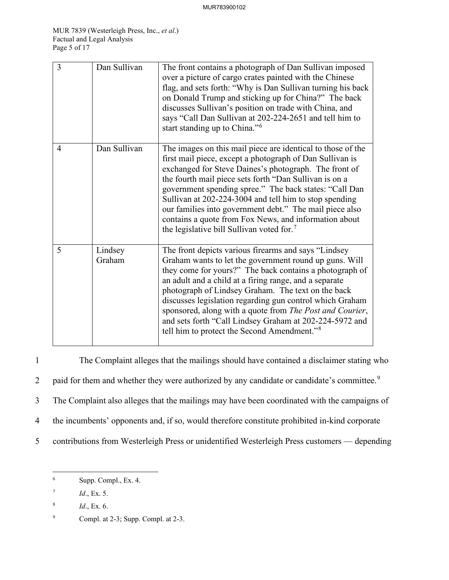| $\overline{3}$ | Dan Sullivan      | The front contains a photograph of Dan Sullivan imposed<br>over a picture of cargo crates painted with the Chinese<br>flag, and sets forth: "Why is Dan Sullivan turning his back<br>on Donald Trump and sticking up for China?" The back<br>discusses Sullivan's position on trade with China, and<br>says "Call Dan Sullivan at 202-224-2651 and tell him to<br>start standing up to China." <sup>6</sup>                                                                                                                                 |
|----------------|-------------------|---------------------------------------------------------------------------------------------------------------------------------------------------------------------------------------------------------------------------------------------------------------------------------------------------------------------------------------------------------------------------------------------------------------------------------------------------------------------------------------------------------------------------------------------|
| 4              | Dan Sullivan      | The images on this mail piece are identical to those of the<br>first mail piece, except a photograph of Dan Sullivan is<br>exchanged for Steve Daines's photograph. The front of<br>the fourth mail piece sets forth "Dan Sullivan is on a<br>government spending spree." The back states: "Call Dan<br>Sullivan at 202-224-3004 and tell him to stop spending<br>our families into government debt." The mail piece also<br>contains a quote from Fox News, and information about<br>the legislative bill Sullivan voted for. <sup>7</sup> |
| 5              | Lindsey<br>Graham | The front depicts various firearms and says "Lindsey<br>Graham wants to let the government round up guns. Will<br>they come for yours?" The back contains a photograph of<br>an adult and a child at a firing range, and a separate<br>photograph of Lindsey Graham. The text on the back<br>discusses legislation regarding gun control which Graham<br>sponsored, along with a quote from The Post and Courier,<br>and sets forth "Call Lindsey Graham at 202-224-5972 and<br>tell him to protect the Second Amendment." <sup>8</sup>     |

1 The Complaint alleges that the mailings should have contained a disclaimer stating who 2 paid for them and whether they were authorized by any candidate or candidate's committee.<sup>[9](#page-6-3)</sup> 3 The Complaint also alleges that the mailings may have been coordinated with the campaigns of 4 the incumbents' opponents and, if so, would therefore constitute prohibited in-kind corporate 5 contributions from Westerleigh Press or unidentified Westerleigh Press customers — depending

<span id="page-6-0"></span><sup>6</sup> Supp. Compl., Ex. 4.

<span id="page-6-1"></span><sup>7</sup> *Id*., Ex. 5.

<span id="page-6-2"></span><sup>8</sup> *Id*., Ex. 6.

<span id="page-6-3"></span><sup>9</sup> Compl. at 2-3; Supp. Compl. at 2-3.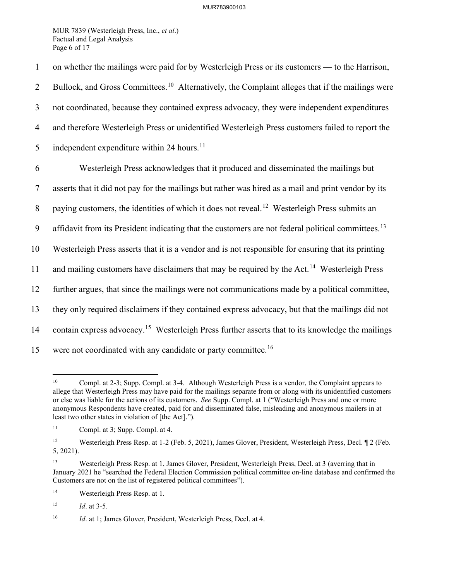MUR 7839 (Westerleigh Press, Inc., *et al*.) Factual and Legal Analysis Page 6 of 17

1 on whether the mailings were paid for by Westerleigh Press or its customers — to the Harrison, 2 Bullock, and Gross Committees.<sup>[10](#page-7-0)</sup> Alternatively, the Complaint alleges that if the mailings were 3 not coordinated, because they contained express advocacy, they were independent expenditures 4 and therefore Westerleigh Press or unidentified Westerleigh Press customers failed to report the 5 independent expenditure within 24 hours.<sup>[11](#page-7-1)</sup> 6 Westerleigh Press acknowledges that it produced and disseminated the mailings but 7 asserts that it did not pay for the mailings but rather was hired as a mail and print vendor by its 8 paying customers, the identities of which it does not reveal.<sup>[12](#page-7-2)</sup> Westerleigh Press submits an 9 affidavit from its President indicating that the customers are not federal political committees.<sup>[13](#page-7-3)</sup> 10 Westerleigh Press asserts that it is a vendor and is not responsible for ensuring that its printing 11 and mailing customers have disclaimers that may be required by the Act.<sup>[14](#page-7-4)</sup> Westerleigh Press 12 further argues, that since the mailings were not communications made by a political committee, 13 they only required disclaimers if they contained express advocacy, but that the mailings did not 14 contain express advocacy.<sup>[15](#page-7-5)</sup> Westerleigh Press further asserts that to its knowledge the mailings 15 were not coordinated with any candidate or party committee.<sup>[16](#page-7-6)</sup>

<span id="page-7-7"></span><span id="page-7-0"></span><sup>&</sup>lt;sup>10</sup> Compl. at 2-3; Supp. Compl. at 3-4. Although Westerleigh Press is a vendor, the Complaint appears to allege that Westerleigh Press may have paid for the mailings separate from or along with its unidentified customers or else was liable for the actions of its customers. *See* Supp. Compl. at 1 ("Westerleigh Press and one or more anonymous Respondents have created, paid for and disseminated false, misleading and anonymous mailers in at least two other states in violation of [the Act].").

<span id="page-7-1"></span><sup>11</sup> Compl. at 3; Supp. Compl. at 4.

<span id="page-7-2"></span><sup>&</sup>lt;sup>12</sup> Westerleigh Press Resp. at 1-2 (Feb. 5, 2021), James Glover, President, Westerleigh Press, Decl. ¶ 2 (Feb. 5, 2021).

<span id="page-7-3"></span><sup>13</sup> Westerleigh Press Resp. at 1, James Glover, President, Westerleigh Press, Decl. at 3 (averring that in January 2021 he "searched the Federal Election Commission political committee on-line database and confirmed the Customers are not on the list of registered political committees").

<span id="page-7-4"></span><sup>14</sup> Westerleigh Press Resp. at 1.

<span id="page-7-5"></span><sup>15</sup> *Id*. at 3-5.

<span id="page-7-6"></span><sup>&</sup>lt;sup>16</sup> *Id.* at 1; James Glover, President, Westerleigh Press, Decl. at 4.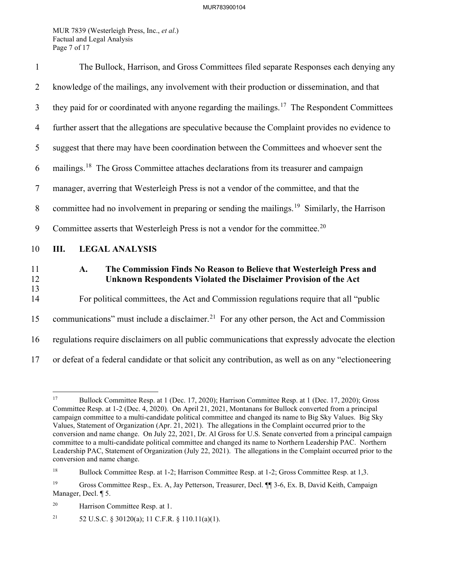MUR 7839 (Westerleigh Press, Inc., *et al*.) Factual and Legal Analysis Page 7 of 17

| $\mathbf{1}$   | The Bullock, Harrison, and Gross Committees filed separate Responses each denying any                                                          |  |  |
|----------------|------------------------------------------------------------------------------------------------------------------------------------------------|--|--|
| $\overline{2}$ | knowledge of the mailings, any involvement with their production or dissemination, and that                                                    |  |  |
| 3              | they paid for or coordinated with anyone regarding the mailings. <sup>17</sup> The Respondent Committees                                       |  |  |
| $\overline{4}$ | further assert that the allegations are speculative because the Complaint provides no evidence to                                              |  |  |
| 5              | suggest that there may have been coordination between the Committees and whoever sent the                                                      |  |  |
| 6              | mailings. <sup>18</sup> The Gross Committee attaches declarations from its treasurer and campaign                                              |  |  |
| $\tau$         | manager, averring that Westerleigh Press is not a vendor of the committee, and that the                                                        |  |  |
| 8              | committee had no involvement in preparing or sending the mailings. <sup>19</sup> Similarly, the Harrison                                       |  |  |
| 9              | Committee asserts that Westerleigh Press is not a vendor for the committee. <sup>20</sup>                                                      |  |  |
| 10             | Ш.<br><b>LEGAL ANALYSIS</b>                                                                                                                    |  |  |
| 11<br>12       | The Commission Finds No Reason to Believe that Westerleigh Press and<br>A.<br>Unknown Respondents Violated the Disclaimer Provision of the Act |  |  |
| 13<br>14       | For political committees, the Act and Commission regulations require that all "public                                                          |  |  |
| 15             | communications" must include a disclaimer. <sup>21</sup> For any other person, the Act and Commission                                          |  |  |
| 16             | regulations require disclaimers on all public communications that expressly advocate the election                                              |  |  |
| 17             | or defeat of a federal candidate or that solicit any contribution, as well as on any "electioneering                                           |  |  |

<span id="page-8-5"></span><span id="page-8-0"></span><sup>17</sup> Bullock Committee Resp. at 1 (Dec. 17, 2020); Harrison Committee Resp. at 1 (Dec. 17, 2020); Gross Committee Resp. at 1-2 (Dec. 4, 2020). On April 21, 2021, Montanans for Bullock converted from a principal campaign committee to a multi-candidate political committee and changed its name to Big Sky Values. Big Sky Values, Statement of Organization (Apr. 21, 2021). The allegations in the Complaint occurred prior to the conversion and name change. On July 22, 2021, Dr. Al Gross for U.S. Senate converted from a principal campaign committee to a multi-candidate political committee and changed its name to Northern Leadership PAC. Northern Leadership PAC, Statement of Organization (July 22, 2021). The allegations in the Complaint occurred prior to the conversion and name change.

<span id="page-8-1"></span><sup>&</sup>lt;sup>18</sup> Bullock Committee Resp. at 1-2; Harrison Committee Resp. at 1-2; Gross Committee Resp. at 1,3.

<span id="page-8-2"></span><sup>19</sup> Gross Committee Resp., Ex. A, Jay Petterson, Treasurer, Decl. ¶¶ 3-6, Ex. B, David Keith, Campaign Manager, Decl. ¶ 5.

<span id="page-8-3"></span><sup>20</sup> Harrison Committee Resp. at 1.

<span id="page-8-4"></span><sup>&</sup>lt;sup>21</sup> 52 U.S.C. § 30120(a); 11 C.F.R. § 110.11(a)(1).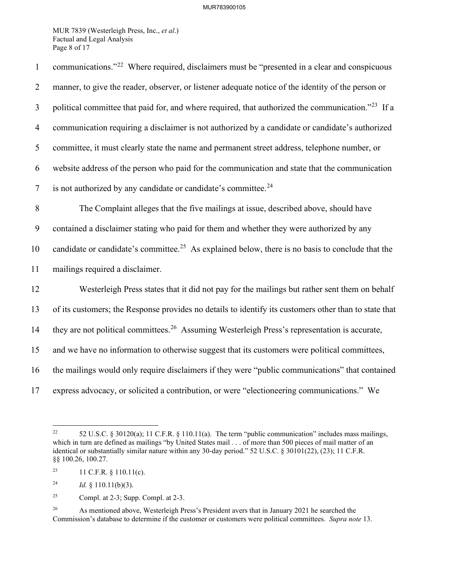MUR 7839 (Westerleigh Press, Inc., *et al*.) Factual and Legal Analysis Page 8 of 17

| $\mathbf{1}$   | communications." <sup>22</sup> Where required, disclaimers must be "presented in a clear and conspicuous      |
|----------------|---------------------------------------------------------------------------------------------------------------|
| $\overline{2}$ | manner, to give the reader, observer, or listener adequate notice of the identity of the person or            |
| 3              | political committee that paid for, and where required, that authorized the communication." <sup>23</sup> If a |
| $\overline{4}$ | communication requiring a disclaimer is not authorized by a candidate or candidate's authorized               |
| 5              | committee, it must clearly state the name and permanent street address, telephone number, or                  |
| 6              | website address of the person who paid for the communication and state that the communication                 |
| $\overline{7}$ | is not authorized by any candidate or candidate's committee. <sup>24</sup>                                    |
| $\, 8$         | The Complaint alleges that the five mailings at issue, described above, should have                           |
| 9              | contained a disclaimer stating who paid for them and whether they were authorized by any                      |
| 10             | candidate or candidate's committee. <sup>25</sup> As explained below, there is no basis to conclude that the  |
| 11             | mailings required a disclaimer.                                                                               |
| 12             | Westerleigh Press states that it did not pay for the mailings but rather sent them on behalf                  |
| 13             | of its customers; the Response provides no details to identify its customers other than to state that         |
| 14             | they are not political committees. <sup>26</sup> Assuming Westerleigh Press's representation is accurate,     |
| 15             | and we have no information to otherwise suggest that its customers were political committees,                 |
| 16             | the mailings would only require disclaimers if they were "public communications" that contained               |
| 17             | express advocacy, or solicited a contribution, or were "electioneering communications." We                    |

<span id="page-9-0"></span><sup>&</sup>lt;sup>22</sup> 52 U.S.C. § 30120(a); 11 C.F.R. § 110.11(a). The term "public communication" includes mass mailings, which in turn are defined as mailings "by United States mail . . . of more than 500 pieces of mail matter of an identical or substantially similar nature within any 30-day period." 52 U.S.C. § 30101(22), (23); 11 C.F.R. §§ 100.26, 100.27.

<span id="page-9-1"></span><sup>&</sup>lt;sup>23</sup> 11 C.F.R. § 110.11(c).

<span id="page-9-2"></span><sup>&</sup>lt;sup>24</sup> *Id.* § 110.11(b)(3).

<span id="page-9-3"></span><sup>&</sup>lt;sup>25</sup> Compl. at 2-3; Supp. Compl. at 2-3.

<span id="page-9-4"></span><sup>&</sup>lt;sup>26</sup> As mentioned above, Westerleigh Press's President avers that in January 2021 he searched the Commission's database to determine if the customer or customers were political committees. *Supra note* [13.](#page-7-7)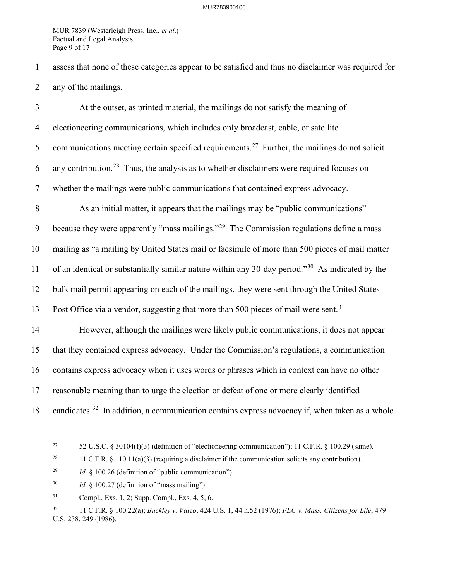MUR 7839 (Westerleigh Press, Inc., *et al*.) Factual and Legal Analysis Page 9 of 17

1 assess that none of these categories appear to be satisfied and thus no disclaimer was required for 2 any of the mailings.

3 At the outset, as printed material, the mailings do not satisfy the meaning of 4 electioneering communications, which includes only broadcast, cable, or satellite 5 communications meeting certain specified requirements.<sup>[27](#page-10-0)</sup> Further, the mailings do not solicit 6 any contribution.<sup>[28](#page-10-1)</sup> Thus, the analysis as to whether disclaimers were required focuses on 7 whether the mailings were public communications that contained express advocacy. 8 As an initial matter, it appears that the mailings may be "public communications" 9 because they were apparently "mass mailings."<sup>[29](#page-10-2)</sup> The Commission regulations define a mass 10 mailing as "a mailing by United States mail or facsimile of more than 500 pieces of mail matter 11 of an identical or substantially similar nature within any [30](#page-10-3)-day period."<sup>30</sup> As indicated by the 12 bulk mail permit appearing on each of the mailings, they were sent through the United States 13 Post Office via a vendor, suggesting that more than 500 pieces of mail were sent.<sup>[31](#page-10-4)</sup> 14 However, although the mailings were likely public communications, it does not appear 15 that they contained express advocacy. Under the Commission's regulations, a communication 16 contains express advocacy when it uses words or phrases which in context can have no other 17 reasonable meaning than to urge the election or defeat of one or more clearly identified 18 candidates.<sup>[32](#page-10-5)</sup> In addition, a communication contains express advocacy if, when taken as a whole

<span id="page-10-0"></span><sup>&</sup>lt;sup>27</sup> 52 U.S.C. § 30104(f)(3) (definition of "electioneering communication"); 11 C.F.R. § 100.29 (same).

<span id="page-10-1"></span><sup>&</sup>lt;sup>28</sup> 11 C.F.R. § 110.11(a)(3) (requiring a disclaimer if the communication solicits any contribution).

<span id="page-10-2"></span><sup>29</sup> *Id.* § 100.26 (definition of "public communication").

<span id="page-10-3"></span><sup>30</sup> *Id.* § 100.27 (definition of "mass mailing").

<span id="page-10-4"></span><sup>31</sup> Compl., Exs. 1, 2; Supp. Compl., Exs. 4, 5, 6.

<span id="page-10-5"></span><sup>32 11</sup> C.F.R. § 100.22(a); *Buckley v. Valeo*, 424 U.S. 1, 44 n.52 (1976); *FEC v. Mass. Citizens for Life*, 479 U.S. 238, 249 (1986).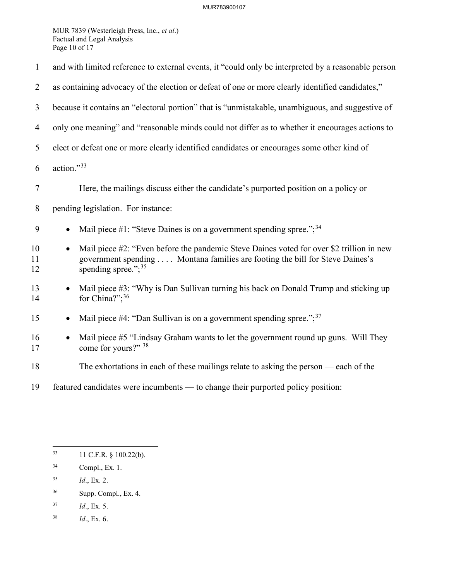MUR 7839 (Westerleigh Press, Inc., *et al*.) Factual and Legal Analysis Page 10 of 17

| $\mathbf{1}$   | and with limited reference to external events, it "could only be interpreted by a reasonable person                                                                                                             |  |  |
|----------------|-----------------------------------------------------------------------------------------------------------------------------------------------------------------------------------------------------------------|--|--|
| $\overline{2}$ | as containing advocacy of the election or defeat of one or more clearly identified candidates,"                                                                                                                 |  |  |
| 3              | because it contains an "electoral portion" that is "unmistakable, unambiguous, and suggestive of                                                                                                                |  |  |
| $\overline{4}$ | only one meaning" and "reasonable minds could not differ as to whether it encourages actions to                                                                                                                 |  |  |
| 5              | elect or defeat one or more clearly identified candidates or encourages some other kind of                                                                                                                      |  |  |
| 6              | action."33                                                                                                                                                                                                      |  |  |
| 7              | Here, the mailings discuss either the candidate's purported position on a policy or                                                                                                                             |  |  |
| 8              | pending legislation. For instance:                                                                                                                                                                              |  |  |
| 9              | Mail piece #1: "Steve Daines is on a government spending spree."; $34$<br>$\bullet$                                                                                                                             |  |  |
| 10<br>11<br>12 | Mail piece #2: "Even before the pandemic Steve Daines voted for over \$2 trillion in new<br>$\bullet$<br>government spending Montana families are footing the bill for Steve Daines's<br>spending spree."; $35$ |  |  |
| 13<br>14       | Mail piece #3: "Why is Dan Sullivan turning his back on Donald Trump and sticking up<br>for China?"; <sup>36</sup>                                                                                              |  |  |
| 15             | Mail piece #4: "Dan Sullivan is on a government spending spree."; $37$                                                                                                                                          |  |  |
| 16<br>17       | Mail piece #5 "Lindsay Graham wants to let the government round up guns. Will They<br>$\bullet$<br>come for yours?" 38                                                                                          |  |  |
| 18             | The exhortations in each of these mailings relate to asking the person — each of the                                                                                                                            |  |  |
| 19             | featured candidates were incumbents — to change their purported policy position:                                                                                                                                |  |  |

- <span id="page-11-2"></span>35 *Id*., Ex. 2.
- <span id="page-11-3"></span>36 Supp. Compl., Ex. 4.
- <span id="page-11-4"></span>37 *Id*., Ex. 5.
- <span id="page-11-5"></span>38 *Id*., Ex. 6.

<span id="page-11-0"></span><sup>33 11</sup> C.F.R. § 100.22(b).

<span id="page-11-1"></span><sup>34</sup> Compl., Ex. 1.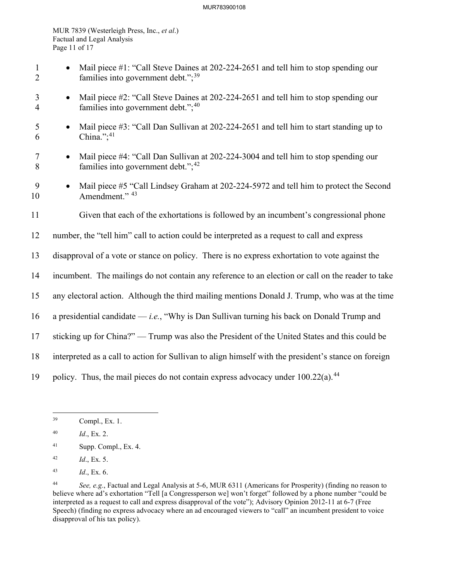#### MUR783900108

MUR 7839 (Westerleigh Press, Inc., *et al*.) Factual and Legal Analysis Page 11 of 17

- 1 Mail piece #1: "Call Steve Daines at 202-224-2651 and tell him to stop spending our 2 families into government debt.";<sup>[39](#page-12-0)</sup>
- 3 Mail piece #2: "Call Steve Daines at 202-224-2651 and tell him to stop spending our 4 families into government debt."; $40$
- 5 Mail piece #3: "Call Dan Sullivan at 202-224-2651 and tell him to start standing up to 6 China."; $41$
- 7 Mail piece #4: "Call Dan Sullivan at 202-224-3004 and tell him to stop spending our 8 families into government debt.";<sup>[42](#page-12-3)</sup>
- 9 Mail piece #5 "Call Lindsey Graham at 202-224-5972 and tell him to protect the Second 10 Amendment." <sup>[43](#page-12-4)</sup>
- 11 Given that each of the exhortations is followed by an incumbent's congressional phone
- 12 number, the "tell him" call to action could be interpreted as a request to call and express
- 13 disapproval of a vote or stance on policy. There is no express exhortation to vote against the
- 14 incumbent. The mailings do not contain any reference to an election or call on the reader to take
- 15 any electoral action. Although the third mailing mentions Donald J. Trump, who was at the time
- 16 a presidential candidate *i.e.*, "Why is Dan Sullivan turning his back on Donald Trump and
- 17 sticking up for China?" Trump was also the President of the United States and this could be
- 18 interpreted as a call to action for Sullivan to align himself with the president's stance on foreign
- 19 policy. Thus, the mail pieces do not contain express advocacy under  $100.22(a)$ .<sup>[44](#page-12-5)</sup>

- <span id="page-12-2"></span>41 Supp. Compl., Ex. 4.
- <span id="page-12-3"></span>42 *Id*., Ex. 5.
- <span id="page-12-4"></span>43 *Id*., Ex. 6.

<span id="page-12-0"></span><sup>39</sup> Compl., Ex. 1.

<span id="page-12-1"></span><sup>40</sup> *Id*., Ex. 2.

<span id="page-12-5"></span><sup>44</sup> *See, e.g.*, Factual and Legal Analysis at 5-6, MUR 6311 (Americans for Prosperity) (finding no reason to believe where ad's exhortation "Tell [a Congressperson we] won't forget" followed by a phone number "could be interpreted as a request to call and express disapproval of the vote"); Advisory Opinion 2012-11 at 6-7 (Free Speech) (finding no express advocacy where an ad encouraged viewers to "call" an incumbent president to voice disapproval of his tax policy).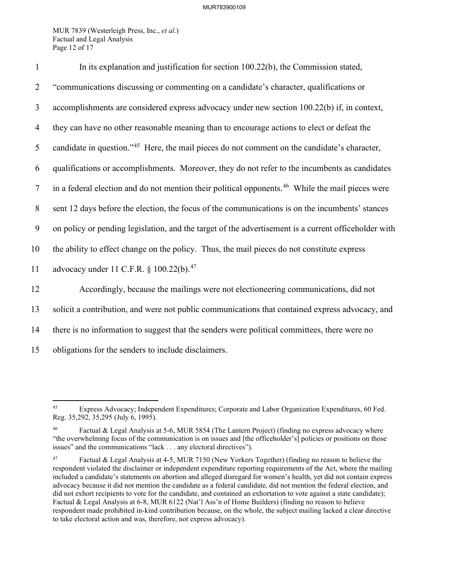MUR 7839 (Westerleigh Press, Inc., *et al*.) Factual and Legal Analysis Page 12 of 17

| $\mathbf{1}$   | In its explanation and justification for section 100.22(b), the Commission stated,                           |
|----------------|--------------------------------------------------------------------------------------------------------------|
| $\overline{2}$ | "communications discussing or commenting on a candidate's character, qualifications or                       |
| 3              | accomplishments are considered express advocacy under new section 100.22(b) if, in context,                  |
| $\overline{4}$ | they can have no other reasonable meaning than to encourage actions to elect or defeat the                   |
| 5              | candidate in question." <sup>45</sup> Here, the mail pieces do not comment on the candidate's character,     |
| 6              | qualifications or accomplishments. Moreover, they do not refer to the incumbents as candidates               |
| $\tau$         | in a federal election and do not mention their political opponents. <sup>46</sup> While the mail pieces were |
| 8              | sent 12 days before the election, the focus of the communications is on the incumbents' stances              |
| 9              | on policy or pending legislation, and the target of the advertisement is a current officeholder with         |
| 10             | the ability to effect change on the policy. Thus, the mail pieces do not constitute express                  |
| 11             | advocacy under 11 C.F.R. § 100.22(b). <sup>47</sup>                                                          |
| 12             | Accordingly, because the mailings were not electioneering communications, did not                            |
| 13             | solicit a contribution, and were not public communications that contained express advocacy, and              |
| 14             | there is no information to suggest that the senders were political committees, there were no                 |
| 15             | obligations for the senders to include disclaimers.                                                          |

<span id="page-13-0"></span><sup>45</sup> Express Advocacy; Independent Expenditures; Corporate and Labor Organization Expenditures, 60 Fed. Reg. 35,292, 35,295 (July 6, 1995).

<span id="page-13-1"></span>Factual & Legal Analysis at 5-6, MUR 5854 (The Lantern Project) (finding no express advocacy where "the overwhelming focus of the communication is on issues and [the officeholder's] policies or positions on those issues" and the communications "lack . . . any electoral directives").

<span id="page-13-2"></span><sup>47</sup> Factual & Legal Analysis at 4-5, MUR 7150 (New Yorkers Together) (finding no reason to believe the respondent violated the disclaimer or independent expenditure reporting requirements of the Act, where the mailing included a candidate's statements on abortion and alleged disregard for women's health, yet did not contain express advocacy because it did not mention the candidate as a federal candidate, did not mention the federal election, and did not exhort recipients to vote for the candidate, and contained an exhortation to vote against a state candidate); Factual & Legal Analysis at 6-8, MUR 6122 (Nat'l Ass'n of Home Builders) (finding no reason to believe respondent made prohibited in-kind contribution because, on the whole, the subject mailing lacked a clear directive to take electoral action and was, therefore, not express advocacy).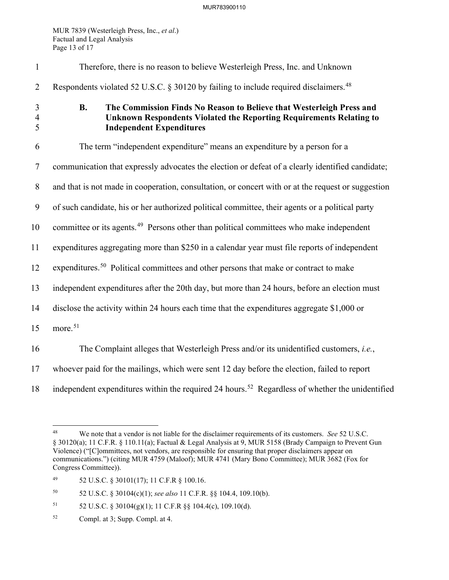MUR 7839 (Westerleigh Press, Inc., *et al*.) Factual and Legal Analysis Page 13 of 17

| $\mathbf{1}$             | Therefore, there is no reason to believe Westerleigh Press, Inc. and Unknown                                                                                                                |
|--------------------------|---------------------------------------------------------------------------------------------------------------------------------------------------------------------------------------------|
| $\overline{2}$           | Respondents violated 52 U.S.C. § 30120 by failing to include required disclaimers. <sup>48</sup>                                                                                            |
| 3<br>$\overline{4}$<br>5 | The Commission Finds No Reason to Believe that Westerleigh Press and<br><b>B.</b><br>Unknown Respondents Violated the Reporting Requirements Relating to<br><b>Independent Expenditures</b> |
| 6                        | The term "independent expenditure" means an expenditure by a person for a                                                                                                                   |
| $\tau$                   | communication that expressly advocates the election or defeat of a clearly identified candidate;                                                                                            |
| $8\phantom{.}$           | and that is not made in cooperation, consultation, or concert with or at the request or suggestion                                                                                          |
| 9                        | of such candidate, his or her authorized political committee, their agents or a political party                                                                                             |
| 10                       | committee or its agents. <sup>49</sup> Persons other than political committees who make independent                                                                                         |
| 11                       | expenditures aggregating more than \$250 in a calendar year must file reports of independent                                                                                                |
| 12                       | expenditures. <sup>50</sup> Political committees and other persons that make or contract to make                                                                                            |
| 13                       | independent expenditures after the 20th day, but more than 24 hours, before an election must                                                                                                |
| 14                       | disclose the activity within 24 hours each time that the expenditures aggregate \$1,000 or                                                                                                  |
| 15                       | more. <sup>51</sup>                                                                                                                                                                         |
| 16                       | The Complaint alleges that Westerleigh Press and/or its unidentified customers, i.e.,                                                                                                       |
| 17                       | whoever paid for the mailings, which were sent 12 day before the election, failed to report                                                                                                 |
| 18                       | independent expenditures within the required 24 hours. <sup>52</sup> Regardless of whether the unidentified                                                                                 |

<span id="page-14-2"></span>50 52 U.S.C. § 30104(c)(1); *see also* 11 C.F.R. §§ 104.4, 109.10(b).

- <span id="page-14-3"></span>51 52 U.S.C. § 30104(g)(1); 11 C.F.R §§ 104.4(c), 109.10(d).
- <span id="page-14-4"></span>52 Compl. at 3; Supp. Compl. at 4.

<span id="page-14-0"></span><sup>48</sup> We note that a vendor is not liable for the disclaimer requirements of its customers. *See* 52 U.S.C. § 30120(a); 11 C.F.R. § 110.11(a); Factual & Legal Analysis at 9, MUR 5158 (Brady Campaign to Prevent Gun Violence) ("[C]ommittees, not vendors, are responsible for ensuring that proper disclaimers appear on communications.") (citing MUR 4759 (Maloof); MUR 4741 (Mary Bono Committee); MUR 3682 (Fox for Congress Committee)).

<span id="page-14-1"></span><sup>49 52</sup> U.S.C. § 30101(17); 11 C.F.R § 100.16.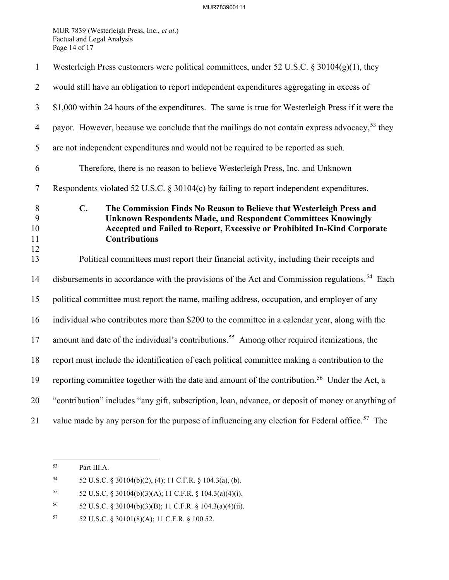MUR 7839 (Westerleigh Press, Inc., *et al*.) Factual and Legal Analysis Page 14 of 17

| $\mathbf{1}$             | Westerleigh Press customers were political committees, under 52 U.S.C. § 30104(g)(1), they                                                                                                                                                                         |
|--------------------------|--------------------------------------------------------------------------------------------------------------------------------------------------------------------------------------------------------------------------------------------------------------------|
| $\overline{2}$           | would still have an obligation to report independent expenditures aggregating in excess of                                                                                                                                                                         |
| $\overline{3}$           | \$1,000 within 24 hours of the expenditures. The same is true for Westerleigh Press if it were the                                                                                                                                                                 |
| $\overline{4}$           | payor. However, because we conclude that the mailings do not contain express advocacy, <sup>53</sup> they                                                                                                                                                          |
| 5                        | are not independent expenditures and would not be required to be reported as such.                                                                                                                                                                                 |
| 6                        | Therefore, there is no reason to believe Westerleigh Press, Inc. and Unknown                                                                                                                                                                                       |
| $\tau$                   | Respondents violated 52 U.S.C. § 30104(c) by failing to report independent expenditures.                                                                                                                                                                           |
| 8<br>9<br>10<br>11<br>12 | $\mathbf{C}$ .<br>The Commission Finds No Reason to Believe that Westerleigh Press and<br><b>Unknown Respondents Made, and Respondent Committees Knowingly</b><br>Accepted and Failed to Report, Excessive or Prohibited In-Kind Corporate<br><b>Contributions</b> |
| 13                       | Political committees must report their financial activity, including their receipts and                                                                                                                                                                            |
| 14                       | disbursements in accordance with the provisions of the Act and Commission regulations. <sup>54</sup> Each                                                                                                                                                          |
| 15                       | political committee must report the name, mailing address, occupation, and employer of any                                                                                                                                                                         |
| 16                       | individual who contributes more than \$200 to the committee in a calendar year, along with the                                                                                                                                                                     |
| 17                       | amount and date of the individual's contributions. <sup>55</sup> Among other required itemizations, the                                                                                                                                                            |
| 18                       | report must include the identification of each political committee making a contribution to the                                                                                                                                                                    |
| 19                       | reporting committee together with the date and amount of the contribution. <sup>56</sup> Under the Act, a                                                                                                                                                          |
| 20                       | "contribution" includes "any gift, subscription, loan, advance, or deposit of money or anything of                                                                                                                                                                 |
| 21                       | value made by any person for the purpose of influencing any election for Federal office. <sup>57</sup> The                                                                                                                                                         |

<span id="page-15-0"></span><sup>53</sup> Part III[.A.](#page-8-5) 

<span id="page-15-1"></span><sup>54 52</sup> U.S.C. § 30104(b)(2), (4); 11 C.F.R. § 104.3(a), (b).

<span id="page-15-2"></span><sup>55</sup> 52 U.S.C. § 30104(b)(3)(A); 11 C.F.R. § 104.3(a)(4)(i).

<span id="page-15-3"></span><sup>56 52</sup> U.S.C. § 30104(b)(3)(B); 11 C.F.R. § 104.3(a)(4)(ii).

<span id="page-15-4"></span><sup>57 52</sup> U.S.C. § 30101(8)(A); 11 C.F.R. § 100.52.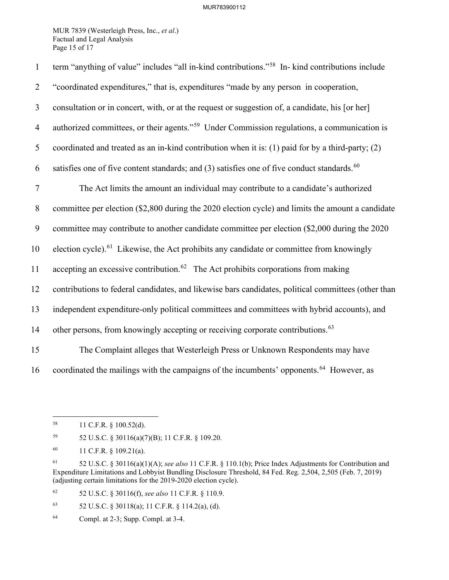MUR 7839 (Westerleigh Press, Inc., *et al*.) Factual and Legal Analysis Page 15 of 17

| $\mathbf{1}$   | term "anything of value" includes "all in-kind contributions." <sup>58</sup> In- kind contributions include |
|----------------|-------------------------------------------------------------------------------------------------------------|
| $\overline{2}$ | "coordinated expenditures," that is, expenditures "made by any person in cooperation,                       |
| $\mathfrak{Z}$ | consultation or in concert, with, or at the request or suggestion of, a candidate, his [or her]             |
| $\overline{4}$ | authorized committees, or their agents." <sup>59</sup> Under Commission regulations, a communication is     |
| 5              | coordinated and treated as an in-kind contribution when it is: (1) paid for by a third-party; (2)           |
| 6              | satisfies one of five content standards; and (3) satisfies one of five conduct standards. <sup>60</sup>     |
| $\tau$         | The Act limits the amount an individual may contribute to a candidate's authorized                          |
| $8\phantom{.}$ | committee per election (\$2,800 during the 2020 election cycle) and limits the amount a candidate           |
| 9              | committee may contribute to another candidate committee per election (\$2,000 during the 2020               |
| 10             | election cycle). <sup>61</sup> Likewise, the Act prohibits any candidate or committee from knowingly        |
| 11             | accepting an excessive contribution. <sup>62</sup> The Act prohibits corporations from making               |
| 12             | contributions to federal candidates, and likewise bars candidates, political committees (other than         |
| 13             | independent expenditure-only political committees and committees with hybrid accounts), and                 |
| 14             | other persons, from knowingly accepting or receiving corporate contributions. <sup>63</sup>                 |
| 15             | The Complaint alleges that Westerleigh Press or Unknown Respondents may have                                |
| 16             | coordinated the mailings with the campaigns of the incumbents' opponents. <sup>64</sup> However, as         |

<span id="page-16-1"></span>59 52 U.S.C. § 30116(a)(7)(B); 11 C.F.R. § 109.20.

<span id="page-16-4"></span>62 52 U.S.C. § 30116(f), *see also* 11 C.F.R. § 110.9.

<span id="page-16-5"></span>63 52 U.S.C. § 30118(a); 11 C.F.R. § 114.2(a), (d).

<span id="page-16-0"></span><sup>58 11</sup> C.F.R. § 100.52(d).

<span id="page-16-2"></span><sup>60 11</sup> C.F.R. § 109.21(a).

<span id="page-16-3"></span><sup>61 52</sup> U.S.C. § 30116(a)(1)(A); *see also* 11 C.F.R. § 110.1(b); Price Index Adjustments for Contribution and Expenditure Limitations and Lobbyist Bundling Disclosure Threshold, 84 Fed. Reg. 2,504, 2,505 (Feb. 7, 2019) (adjusting certain limitations for the 2019-2020 election cycle).

<span id="page-16-6"></span><sup>64</sup> Compl. at 2-3; Supp. Compl. at 3-4.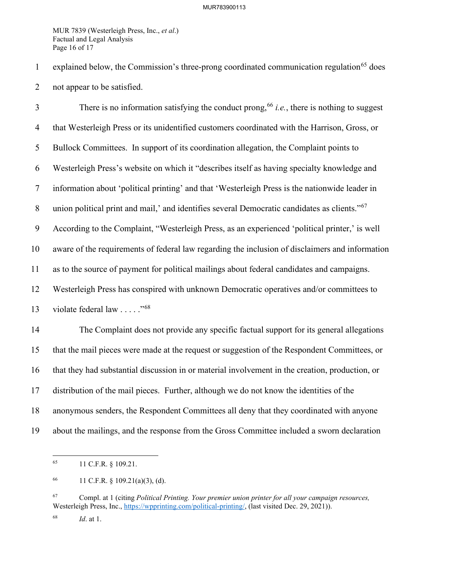MUR 7839 (Westerleigh Press, Inc., *et al*.) Factual and Legal Analysis Page 16 of 17

1 explained below, the Commission's three-prong coordinated communication regulation<sup>[65](#page-17-0)</sup> does 2 not appear to be satisfied.

There is no information satisfying the conduct prong,  $66$  *i.e.*, there is nothing to suggest 4 that Westerleigh Press or its unidentified customers coordinated with the Harrison, Gross, or 5 Bullock Committees. In support of its coordination allegation, the Complaint points to 6 Westerleigh Press's website on which it "describes itself as having specialty knowledge and 7 information about 'political printing' and that 'Westerleigh Press is the nationwide leader in 8 union political print and mail,' and identifies several Democratic candidates as clients."<sup>[67](#page-17-2)</sup> 9 According to the Complaint, "Westerleigh Press, as an experienced 'political printer,' is well 10 aware of the requirements of federal law regarding the inclusion of disclaimers and information 11 as to the source of payment for political mailings about federal candidates and campaigns. 12 Westerleigh Press has conspired with unknown Democratic operatives and/or committees to 13 violate federal law  $\ldots$  .  $\frac{1568}{156}$  $\frac{1568}{156}$  $\frac{1568}{156}$ 14 The Complaint does not provide any specific factual support for its general allegations 15 that the mail pieces were made at the request or suggestion of the Respondent Committees, or 16 that they had substantial discussion in or material involvement in the creation, production, or 17 distribution of the mail pieces. Further, although we do not know the identities of the 18 anonymous senders, the Respondent Committees all deny that they coordinated with anyone

<span id="page-17-0"></span>19 about the mailings, and the response from the Gross Committee included a sworn declaration

<sup>65 11</sup> C.F.R. § 109.21.

<span id="page-17-1"></span><sup>66 11</sup> C.F.R.  $\S$  109.21(a)(3), (d).

<span id="page-17-2"></span><sup>67</sup> Compl. at 1 (citing *Political Printing. Your premier union printer for all your campaign resources,* Westerleigh Press, Inc., [https://wpprinting.com/political-printing/,](https://wpprinting.com/political-printing/) (last visited Dec. 29, 2021)).

<span id="page-17-3"></span><sup>68</sup> *Id*. at 1.